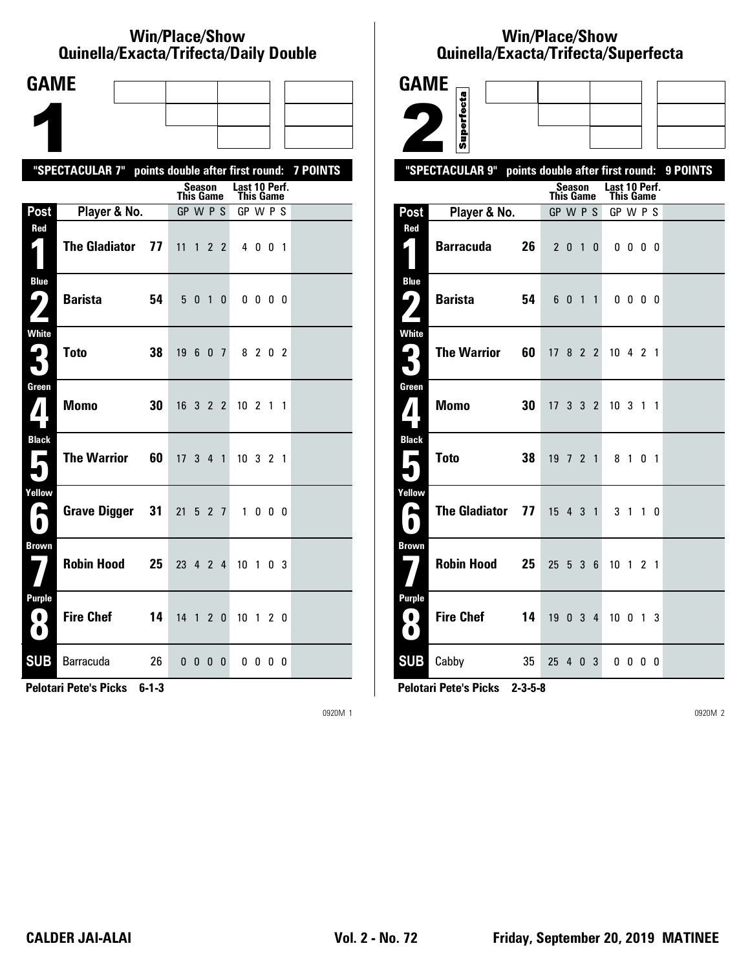#### **Win/Place/Show Quinella/Exacta/Trifecta/Daily Double**

| <b>GAME</b>                           |                            |                                           |              |                            |                   |  |  |  |  |  |
|---------------------------------------|----------------------------|-------------------------------------------|--------------|----------------------------|-------------------|--|--|--|--|--|
|                                       |                            |                                           |              |                            |                   |  |  |  |  |  |
|                                       |                            |                                           |              |                            |                   |  |  |  |  |  |
|                                       | "SPECTACULAR 7"            | points double after first round: 7 POINTS |              |                            |                   |  |  |  |  |  |
|                                       |                            | Season<br><b>This Game</b>                |              | Last 10 Perf.<br>This Game |                   |  |  |  |  |  |
| Post                                  | Player & No.               | GP W P S                                  |              | GP W P S                   |                   |  |  |  |  |  |
| Red                                   | <b>The Gladiator</b><br>77 | $11 \t1 \t2 \t2$                          |              | 4 0 0 1                    |                   |  |  |  |  |  |
| Blue<br>7<br>$\overline{\phantom{a}}$ | <b>Barista</b><br>54       | 5 <sub>0</sub><br>$\overline{1}$          | $\mathbf{0}$ | $0\,0\,0\,0$               |                   |  |  |  |  |  |
| White                                 | <b>Toto</b><br>38          | 19 6<br>0 <sub>7</sub>                    |              | 8 2 0 2                    |                   |  |  |  |  |  |
| Green<br>$\mathbf{I}$                 | <b>Momo</b><br>30          | 16 3 2 2                                  |              | $10 \t2 \t1 \t1$           |                   |  |  |  |  |  |
| <b>Black</b><br>$\blacksquare$        | <b>The Warrior</b><br>60   | $17 \t3 \t4 \t1$                          |              | $10 \t3 \t2 \t1$           |                   |  |  |  |  |  |
| Yellow<br>H                           | <b>Grave Digger</b><br>31  | 21 5 2 7                                  |              | $\mathbf{1}$               | $0\quad 0\quad 0$ |  |  |  |  |  |
| <b>Brown</b>                          | <b>Robin Hood</b><br>25    | 23 4 2 4                                  |              | 10 1                       | 0 <sup>3</sup>    |  |  |  |  |  |
| <b>Purple</b><br>0<br>$\bullet$       | <b>Fire Chef</b><br>14     | 14 1 2 0                                  |              | 10 1 2 0                   |                   |  |  |  |  |  |
| <b>SUB</b>                            | Barracuda<br>26            | $0\quad 0\quad 0\quad 0$                  |              | $0\,0\,0\,0$               |                   |  |  |  |  |  |

**Pelotari Pete's Picks 6-1-3**

0920M 1

# **Win/Place/Show Qui nel la/Exacta/Tri fecta/Super fecta**



**Pelotari Pete's Picks 2-3-5-8**

0920M 2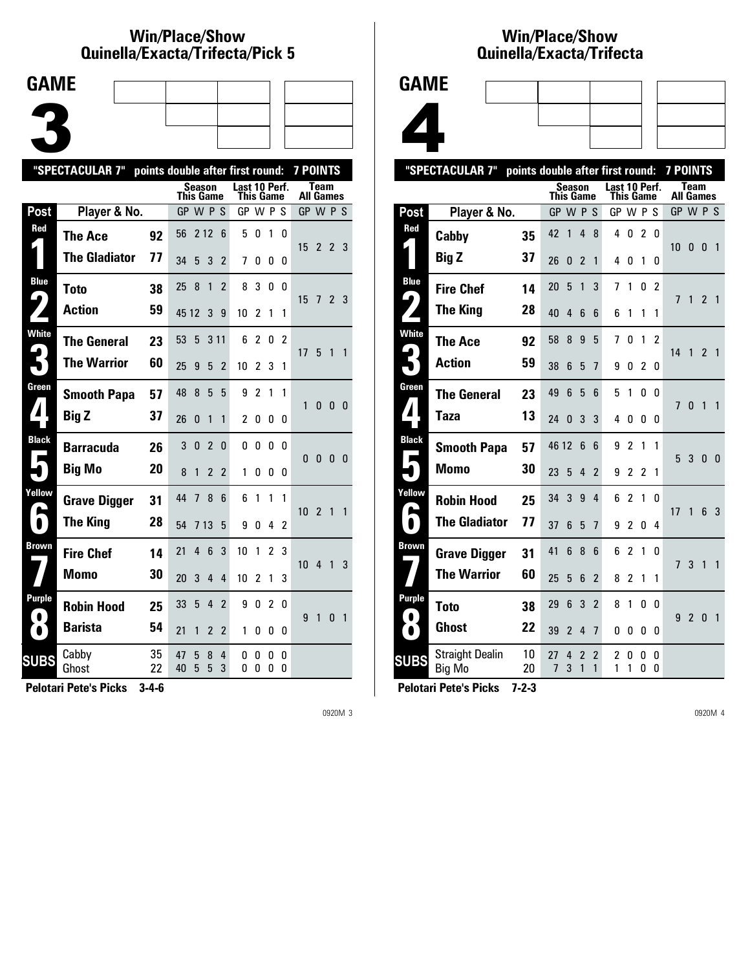### **Win/Place/Show Qui nel la/Exacta/Tri fecta/Pick 5**



|                                      | "SPECTACULAR 7"      | points double after first round: |           |          |                |                          |                            |                |                |        | <b>7 POINTS</b>  |                |                |                |
|--------------------------------------|----------------------|----------------------------------|-----------|----------|----------------|--------------------------|----------------------------|----------------|----------------|--------|------------------|----------------|----------------|----------------|
|                                      |                      |                                  | This Game |          | <b>Season</b>  |                          | Last 10 Perf.<br>This Game |                |                |        | <b>All Games</b> | <b>Team</b>    |                |                |
| Post                                 | Player & No.         |                                  | GP W P S  |          |                |                          | GP W P S                   |                |                |        | GP W P S         |                |                |                |
| Red                                  | The Ace              | 92                               | 56        | 212      |                | 6                        | 5                          | 0              | 1              | 0      | 15               | $\overline{2}$ | 2 3            |                |
|                                      | <b>The Gladiator</b> | 77                               | 34        | 5        | 3              | $\overline{2}$           | 7                          | 0              | 0              | 0      |                  |                |                |                |
| <b>Blue</b><br>$\blacktriangleright$ | <b>Toto</b>          | 38                               | 25        | 8        | 1              | $\overline{\phantom{a}}$ | 8                          | 3              | 0              | 0      | 15               | 7              | 2 <sub>3</sub> |                |
|                                      | <b>Action</b>        | 59                               | 45 12     |          | 3              | 9                        | 10                         | 2              | 1              | 1      |                  |                |                |                |
| <b>White</b>                         | <b>The General</b>   | 23                               | 53        | 5        | 3 1 1          |                          | 6                          | $\overline{2}$ | 0              | 2      | 17 5             |                | 1              | $\overline{1}$ |
|                                      | <b>The Warrior</b>   | 60                               | 25        | 9        | 5              | $\overline{2}$           | 10                         | 2              | 3              | 1      |                  |                |                |                |
| Green                                | <b>Smooth Papa</b>   | 57                               | 48        | 8        | 5              | 5                        | 9                          | $\overline{2}$ | 1              | 1      | 1                | 0              | 0              | - 0            |
|                                      | <b>Big Z</b>         | 37                               | 26        | $\Omega$ | 1              | 1                        | $\overline{2}$             | 0              | 0              | 0      |                  |                |                |                |
| <b>Black</b>                         | <b>Barracuda</b>     | 26                               | 3         | $\Omega$ | $\overline{2}$ | 0                        | 0                          | 0              | 0              | 0      | $\Omega$         | $\mathbf{0}$   | $\mathbf{0}$   | $\overline{0}$ |
|                                      | <b>Big Mo</b>        | 20                               | 8         | 1        | $\overline{2}$ | $\overline{2}$           | 1                          | O              | 0              | 0      |                  |                |                |                |
| Yellow                               | <b>Grave Digger</b>  | 31                               | 44        | 7        | 8              | 6                        | 6                          | 1              | 1              | 1      | 10 <sup>2</sup>  |                | $\mathbf{1}$   | $\overline{1}$ |
| $\bullet$                            | <b>The King</b>      | 28                               | 54        | 7 13     |                | 5                        | 9                          | O              | 4              | 2      |                  |                |                |                |
| Brown                                | <b>Fire Chef</b>     | 14                               | 21        | 4        | 6              | 3                        | 10                         | 1              | $\overline{2}$ | 3      | 10               | 4              | 1              | 3              |
|                                      | <b>Momo</b>          | 30                               | 20        | 3        | 4              | 4                        | 10                         | 2              | 1              | 3      |                  |                |                |                |
| Purple                               | <b>Robin Hood</b>    | 25                               | 33        | 5        | 4              | $\overline{2}$           | 9                          | 0              | 2              | 0      | 9                | 1              | 0              | $\overline{1}$ |
|                                      | <b>Barista</b>       | 54                               | 21        | 1        | 2              | 2                        | 1                          | 0              | 0              | 0      |                  |                |                |                |
| <b>SUBS</b>                          | Cabby<br>Ghost       | 35<br>22                         | 47<br>40  | 5<br>5   | 8<br>5         | 4<br>3                   | 0<br>0                     | 0<br>0         | 0<br>0         | 0<br>0 |                  |                |                |                |
|                                      |                      |                                  |           |          |                |                          |                            |                |                |        |                  |                |                |                |

**Pelotari Pete's Picks 3-4-6**

0920M 3

### **Win/Place/Show Qui nel la/Exacta/Tri fecta**



|                            | "SPECTACULAR 7"                  | points double after first round: |                  |                |                |                 |               |                |                |                | <b>7 POINTS</b>   |                |                         |                |
|----------------------------|----------------------------------|----------------------------------|------------------|----------------|----------------|-----------------|---------------|----------------|----------------|----------------|-------------------|----------------|-------------------------|----------------|
|                            |                                  |                                  | <b>This Game</b> | <b>Season</b>  |                |                 | Last 10 Perf. | This Game      |                |                | Team<br>All Games |                |                         |                |
| Post                       | Player & No.                     |                                  | GP W P S         |                |                |                 | GP W P        |                |                | -S             | GP W P S          |                |                         |                |
| Red                        | Cabby                            | 35                               | 42               | 1              | 4              | 8               | 4             | 0              | $\overline{2}$ | 0              |                   |                |                         |                |
|                            | <b>Big Z</b>                     | 37                               | 26               | 0              | $\overline{2}$ | 1               | 4             | 0              | 1              | 0              | 10                | 0              | $\overline{\mathbf{0}}$ | $\overline{1}$ |
| <b>Blue</b>                | <b>Fire Chef</b>                 | 14                               | 20               | 5              | 1              | 3               | 7             | 1              | 0              | $\overline{2}$ |                   |                |                         |                |
| $\blacktriangleright$      | <b>The King</b>                  | 28                               | 40               | 4              | 6              | 6               | 6             | 1              | 1              | 1              | 7                 | 1              | $\mathfrak{p}$          | $\overline{1}$ |
| <b>White</b>               | The Ace                          | 92                               | 58               | 8              | 9              | 5               | 7             | 0              | 1              | 2              | 14                | $\mathbf{1}$   | 2 <sub>1</sub>          |                |
|                            | <b>Action</b>                    | 59                               | 38               | 6              | 5              | 7               | 9             | 0              | 2              | 0              |                   |                |                         |                |
| Green                      | <b>The General</b>               | 23                               | 49               | 6              | 5              | 6               | 5             | 1              | 0              | 0              | 7                 | 0              | 1                       | 1              |
| $\boldsymbol{\mathcal{A}}$ | Taza                             | 13                               | 24               | $\Omega$       | 3              | 3               | 4             | 0              | 0              | 0              |                   |                |                         |                |
| <b>Black</b><br>Е          | <b>Smooth Papa</b>               | 57                               | 46 12            |                | 6              | $6\phantom{1}6$ | 9             | $\overline{2}$ | 1              | 1              | 5                 | 3 <sub>0</sub> |                         | $\overline{0}$ |
|                            | <b>Momo</b>                      | 30                               | 23               | 5              | 4              | $\overline{2}$  | 9             | $\overline{c}$ | $\mathfrak z$  | 1              |                   |                |                         |                |
| Yellow                     | <b>Robin Hood</b>                | 25                               | 34               | 3              | 9              | 4               | 6             | $\overline{2}$ | 1              | 0              | 17                | 1              | $6\phantom{1}$          | -3             |
|                            | <b>The Gladiator</b>             | 77                               | 37               | 6              | 5              | $\overline{1}$  | 9             | $\overline{c}$ | 0              | 4              |                   |                |                         |                |
| <b>Brown</b>               | <b>Grave Digger</b>              | 31                               | 41               | 6              | 8              | 6               | 6             | 2              | 1              | 0              | $\overline{7}$    | 3              | $\mathbf{1}$            | 1              |
|                            | <b>The Warrior</b>               | 60                               | 25               | 5              | 6              | $\overline{2}$  | 8             | $\overline{2}$ | 1              | 1              |                   |                |                         |                |
| Purple                     | Toto                             | 38                               | 29               | 6              | 3              | $\overline{2}$  | 8             | 1              | 0              | 0              | 9                 |                | $\mathbf{0}$            | $\overline{1}$ |
| ●                          | <b>Ghost</b>                     | 22                               | 39               | $\overline{2}$ | 4              | $\overline{1}$  | 0             | 0              | 0              | 0              |                   | $\overline{2}$ |                         |                |
| <b>SUBS</b>                | <b>Straight Dealin</b><br>Big Mo | 10<br>20                         | 27<br>7          | 4<br>3         | 2<br>1         | 2<br>1          | 2<br>1        | 0<br>1         | 0<br>0         | 0<br>0         |                   |                |                         |                |
|                            |                                  |                                  |                  |                |                |                 |               |                |                |                |                   |                |                         |                |

**Pelotari Pete's Picks 7-2-3**

0920M 4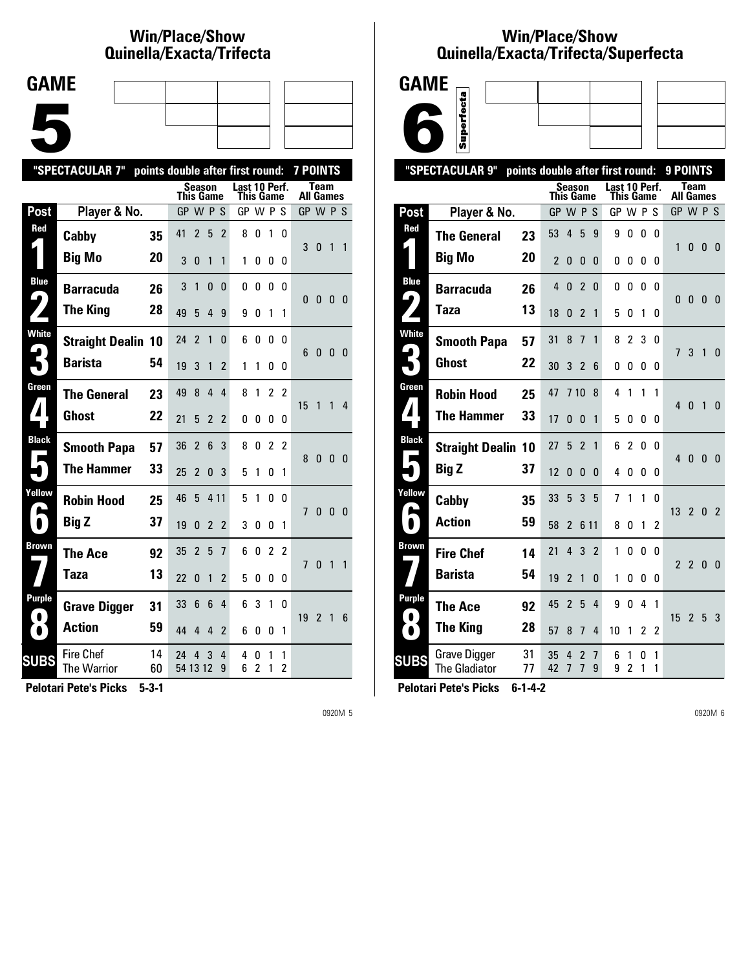# **Win/Place/Show Qui nel la/Exacta/Tri fecta**

| <b>GAME</b> |  |  |  |
|-------------|--|--|--|
|             |  |  |  |
|             |  |  |  |
|             |  |  |  |
|             |  |  |  |
|             |  |  |  |
|             |  |  |  |
|             |  |  |  |

|                  | "SPECTACULAR 7"<br>points double after first round:<br>7 POINTS |          |                  |                          |                |                |                            |                     |                |                     |                                 |                |                |                         |  |
|------------------|-----------------------------------------------------------------|----------|------------------|--------------------------|----------------|----------------|----------------------------|---------------------|----------------|---------------------|---------------------------------|----------------|----------------|-------------------------|--|
|                  |                                                                 |          | <b>This Game</b> | <b>Season</b>            |                |                | Last 10 Perf.<br>This Game |                     |                |                     | <b>Team</b><br><b>All Games</b> |                |                |                         |  |
| Post             | Player & No.                                                    |          | GP W P S         |                          |                |                | GP W P S                   |                     |                |                     | GP W P S                        |                |                |                         |  |
| Red              | Cabby                                                           | 35       | 41               | $\overline{2}$           | 5              | 2              | 8                          | 0                   | 1              | 0                   | 3                               | $\mathbf{0}$   | 1              | $\mathbf{1}$            |  |
|                  | <b>Big Mo</b>                                                   | 20       | 3                | 0                        | 1              | 1              | 1                          | 0                   | 0              | 0                   |                                 |                |                |                         |  |
| <b>Blue</b><br>4 | <b>Barracuda</b>                                                | 26       | 3                | 1                        | 0              | $\Omega$       | 0                          | 0                   | 0              | 0                   | 0                               | $\mathbf{0}$   | $\mathbf{0}$   | - 0                     |  |
|                  | <b>The King</b>                                                 | 28       | 49               | 5                        | 4              | 9              | 9                          | 0                   | 1              | 1                   |                                 |                |                |                         |  |
| <b>White</b>     | <b>Straight Dealin 10</b>                                       |          | 24               | $\overline{\phantom{a}}$ | 1              | $\Omega$       | 6                          | 0                   | 0              | U                   | 6                               | $\mathbf{0}$   | $\mathbf{0}$   | - 0                     |  |
|                  | <b>Barista</b>                                                  | 54       | 19               | 3                        | 1              | $\overline{2}$ | 1                          | 1                   | 0              | 0                   |                                 |                |                |                         |  |
| Green            | <b>The General</b>                                              | 23       | 49               | 8                        | $\overline{4}$ | 4              | 8                          | 1                   | $\mathfrak{p}$ | $\mathfrak{p}$      | 15                              | 1              | 1              | 4                       |  |
|                  | <b>Ghost</b>                                                    | 22       | 21               | 5                        | $\overline{2}$ | $\overline{2}$ | 0                          | 0                   | 0              | 0                   |                                 |                |                |                         |  |
| <b>Black</b>     | <b>Smooth Papa</b>                                              | 57       | 36               | $\overline{2}$           | 6              | 3              | 8                          | 0                   | $\overline{c}$ | 2                   | 8                               | $\mathbf{0}$   | $\mathbf{0}$   | $\overline{\mathbf{0}}$ |  |
|                  | <b>The Hammer</b>                                               | 33       | 25               | $\overline{2}$           | 0              | 3              | 5                          | 1                   | 0              | 1                   |                                 |                |                |                         |  |
| Yellow           | <b>Robin Hood</b>                                               | 25       | 46               | 5                        | 4 1 1          |                | 5                          | 1                   | 0              | <sub>0</sub>        | $\overline{1}$                  | $\pmb{0}$      | 0 <sub>0</sub> |                         |  |
| $\blacksquare$   | <b>Big Z</b>                                                    | 37       | 19               | 0                        | $\overline{2}$ | $\overline{2}$ | 3                          | 0                   | 0              | 1                   |                                 |                |                |                         |  |
| <b>Brown</b>     | <b>The Ace</b>                                                  | 92       | 35               | $\overline{2}$           | 5              | $\overline{1}$ | 6                          | 0                   | $\overline{c}$ | 2                   | 7                               | $\mathbf{0}$   | 1              | 1                       |  |
|                  | Taza                                                            | 13       | 22               | $\mathbf{0}$             | 1              | 2              | 5                          | 0                   | 0              | 0                   |                                 |                |                |                         |  |
| Purple           | <b>Grave Digger</b>                                             | 31       | 33               | 6                        | 6              | 4              | 6                          | 3                   | $\mathbf{1}$   | 0                   | 19                              | $\overline{2}$ | 1              | 6                       |  |
| $\bullet$        | <b>Action</b>                                                   | 59       | 44               | 4                        | 4              | 2              | 6                          | 0                   | 0              | 1                   |                                 |                |                |                         |  |
| <b>SUBS</b>      | <b>Fire Chef</b><br>The Warrior                                 | 14<br>60 | 24<br>54 13 12   | 4                        | 3              | 4<br>9         | 4<br>6                     | 0<br>$\overline{2}$ | 1<br>1         | 1<br>$\overline{c}$ |                                 |                |                |                         |  |
|                  |                                                                 |          |                  |                          |                |                |                            |                     |                |                     |                                 |                |                |                         |  |

**Pelotari Pete's Picks 5-3-1**

0920M 5

#### **Win/Place/Show Qui nel la/Exacta/Tri fecta/Super fecta**



|                           | "SPECTACULAR 9"                             | points double after first round: |                          |                     |                                  |                |               |                     |                |                | 9 POINTS                 |                |                |                |
|---------------------------|---------------------------------------------|----------------------------------|--------------------------|---------------------|----------------------------------|----------------|---------------|---------------------|----------------|----------------|--------------------------|----------------|----------------|----------------|
|                           |                                             |                                  | This Game                | Season              |                                  |                | Last 10 Perf. | This Game           |                |                | Team<br><b>All Games</b> |                |                |                |
| Post                      | Player & No.                                |                                  | GP W P S                 |                     |                                  |                | GP W P S      |                     |                |                | GP W P S                 |                |                |                |
| Red<br>L                  | <b>The General</b>                          | 23                               | 53                       | 4                   | 5                                | 9              | 9             | 0                   | 0              | $\Omega$       |                          |                |                |                |
|                           | <b>Big Mo</b>                               | 20                               | $\overline{\phantom{a}}$ | 0                   | 0                                | 0              | 0             | 0                   | 0              | $\Omega$       | 1                        | 0              | - 0            | $\overline{0}$ |
| <b>Blue</b>               | <b>Barracuda</b>                            | 26                               | 4                        | $\mathbf{0}$        | $\overline{2}$                   | 0              | 0             | 0                   | 0              | 0              |                          |                |                |                |
| $\blacktriangleright$     | Taza                                        | 13                               | 18                       | 0                   | $\overline{2}$                   | 1              | 5             | 0                   | 1              | 0              | 0                        | 0              | $\overline{0}$ | - 0            |
| <b>White</b>              | <b>Smooth Papa</b>                          | 57                               | 31                       | 8                   | 7                                | 1              | 8             | $\overline{c}$      | 3              | $\Omega$       | $\overline{1}$           | 3              | $\mathbf{1}$   | $\Omega$       |
| $\boldsymbol{\mathsf{F}}$ | <b>Ghost</b>                                | 22                               | 30                       | 3                   | $\mathfrak z$                    | 6              | 0             | 0                   | 0              | 0              |                          |                |                |                |
| Green                     | <b>Robin Hood</b>                           | 25                               | 47                       | 710                 |                                  | 8              | 4             | 1                   | 1              | 1              | $\overline{4}$           | $\overline{0}$ | $\overline{1}$ | $\Omega$       |
| $\boldsymbol{I}$          | <b>The Hammer</b>                           | 33                               | 17                       | 0                   | $\Omega$                         | 1              | 5             | 0                   | 0              | 0              |                          |                |                |                |
| <b>Black</b>              | <b>Straight Dealin 10</b>                   |                                  | 27                       | 5                   | $\overline{2}$                   | 1              | 6             | 2                   | $\mathbf{0}$   | 0              | 4                        | $\mathbf{0}$   | $\overline{0}$ | $\mathbf{0}$   |
|                           | <b>Big Z</b>                                | 37                               | 12                       | 0                   | $\Omega$                         | 0              | 4             | 0                   | 0              | 0              |                          |                |                |                |
| Yellow                    | Cabby                                       | 35                               | 33                       | 5                   | 3                                | 5              | 7             | $\mathbf{1}$        | $\mathbf{1}$   | 0              | 13                       | $\overline{2}$ | 0              | $\overline{2}$ |
|                           | <b>Action</b>                               | 59                               | 58                       | $\overline{2}$      |                                  | 6 1 1          | 8             | 0                   | 1              | $\overline{c}$ |                          |                |                |                |
| Brown                     | <b>Fire Chef</b>                            | 14                               | 21                       | 4                   | 3                                | $\overline{2}$ | 1             | 0                   | 0              | 0              | $\overline{2}$           | $\overline{2}$ | $\mathbf{0}$   | $\mathbf{0}$   |
|                           | <b>Barista</b>                              | 54                               | 19                       | $\overline{2}$      | 1                                | 0              | 1             | 0                   | 0              | 0              |                          |                |                |                |
| Purple<br>0               | <b>The Ace</b>                              | 92                               | 45                       | $\overline{2}$      | 5                                | 4              | 9             | 0                   | 4              | 1              | 15                       | 2 <sub>5</sub> |                | -3             |
| $\bullet$                 | <b>The King</b>                             | 28                               | 57                       | 8                   | $\overline{7}$                   | 4              | 10            | 1                   | $\overline{2}$ | $\overline{2}$ |                          |                |                |                |
| <b>SUBS</b>               | <b>Grave Digger</b><br><b>The Gladiator</b> | 31<br>77                         | 35<br>42                 | 4<br>$\overline{7}$ | $\overline{2}$<br>$\overline{1}$ | 7<br>9         | 6<br>9        | 1<br>$\overline{c}$ | 0<br>1         | 1<br>1         |                          |                |                |                |
|                           |                                             |                                  |                          |                     |                                  |                |               |                     |                |                |                          |                |                |                |

**Pelotari Pete's Picks 6-1-4-2**

0920M 6